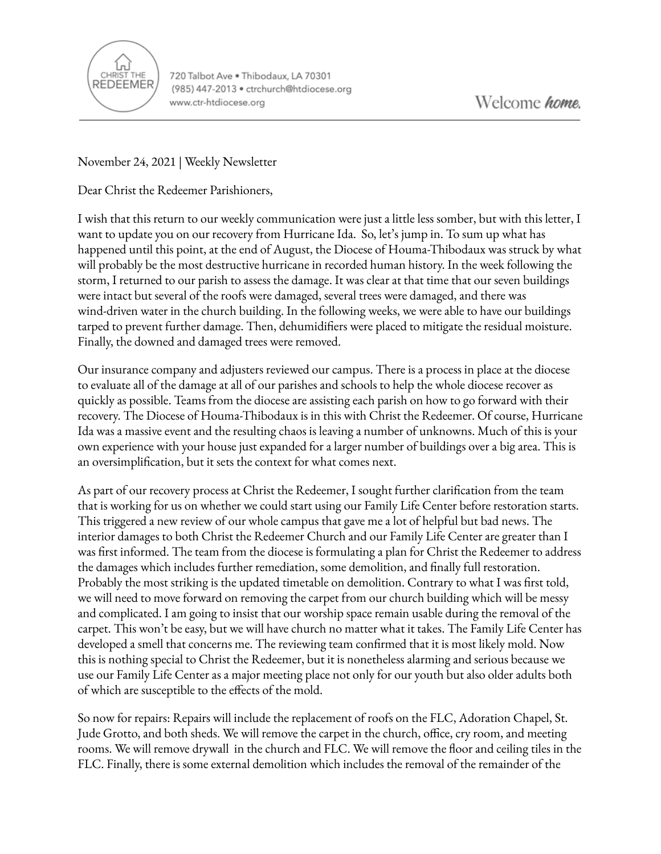

720 Talbot Ave . Thibodaux, LA 70301 (985) 447-2013 · ctrchurch@htdiocese.org www.ctr-htdiocese.org

November 24, 2021 | Weekly Newsletter

Dear Christ the Redeemer Parishioners,

I wish that this return to our weekly communication were just a little less somber, but with this letter, I want to update you on our recovery from Hurricane Ida. So, let's jump in. To sum up what has happened until this point, at the end of August, the Diocese of Houma-Thibodaux was struck by what will probably be the most destructive hurricane in recorded human history. In the week following the storm, I returned to our parish to assess the damage. It was clear at that time that our seven buildings were intact but several of the roofs were damaged, several trees were damaged, and there was wind-driven water in the church building. In the following weeks, we were able to have our buildings tarped to prevent further damage. Then, dehumidifiers were placed to mitigate the residual moisture. Finally, the downed and damaged trees were removed.

Our insurance company and adjusters reviewed our campus. There is a process in place at the diocese to evaluate all of the damage at all of our parishes and schools to help the whole diocese recover as quickly as possible. Teams from the diocese are assisting each parish on how to go forward with their recovery. The Diocese of Houma-Thibodaux is in this with Christ the Redeemer. Of course, Hurricane Ida was a massive event and the resulting chaos is leaving a number of unknowns. Much of this is your own experience with your house just expanded for a larger number of buildings over a big area. This is an oversimplification, but it sets the context for what comes next.

As part of our recovery process at Christ the Redeemer, I sought further clarification from the team that is working for us on whether we could start using our Family Life Center before restoration starts. This triggered a new review of our whole campus that gave me a lot of helpful but bad news. The interior damages to both Christ the Redeemer Church and our Family Life Center are greater than I was first informed. The team from the diocese is formulating a plan for Christ the Redeemer to address the damages which includes further remediation, some demolition, and finally full restoration. Probably the most striking is the updated timetable on demolition. Contrary to what I was first told, we will need to move forward on removing the carpet from our church building which will be messy and complicated. I am going to insist that our worship space remain usable during the removal of the carpet. This won't be easy, but we will have church no matter what it takes. The Family Life Center has developed a smell that concerns me. The reviewing team confirmed that it is most likely mold. Now this is nothing special to Christ the Redeemer, but it is nonetheless alarming and serious because we use our Family Life Center as a major meeting place not only for our youth but also older adults both of which are susceptible to the effects of the mold.

So now for repairs: Repairs will include the replacement of roofs on the FLC, Adoration Chapel, St. Jude Grotto, and both sheds. We will remove the carpet in the church, office, cry room, and meeting rooms. We will remove drywall in the church and FLC. We will remove the floor and ceiling tiles in the FLC. Finally, there is some external demolition which includes the removal of the remainder of the